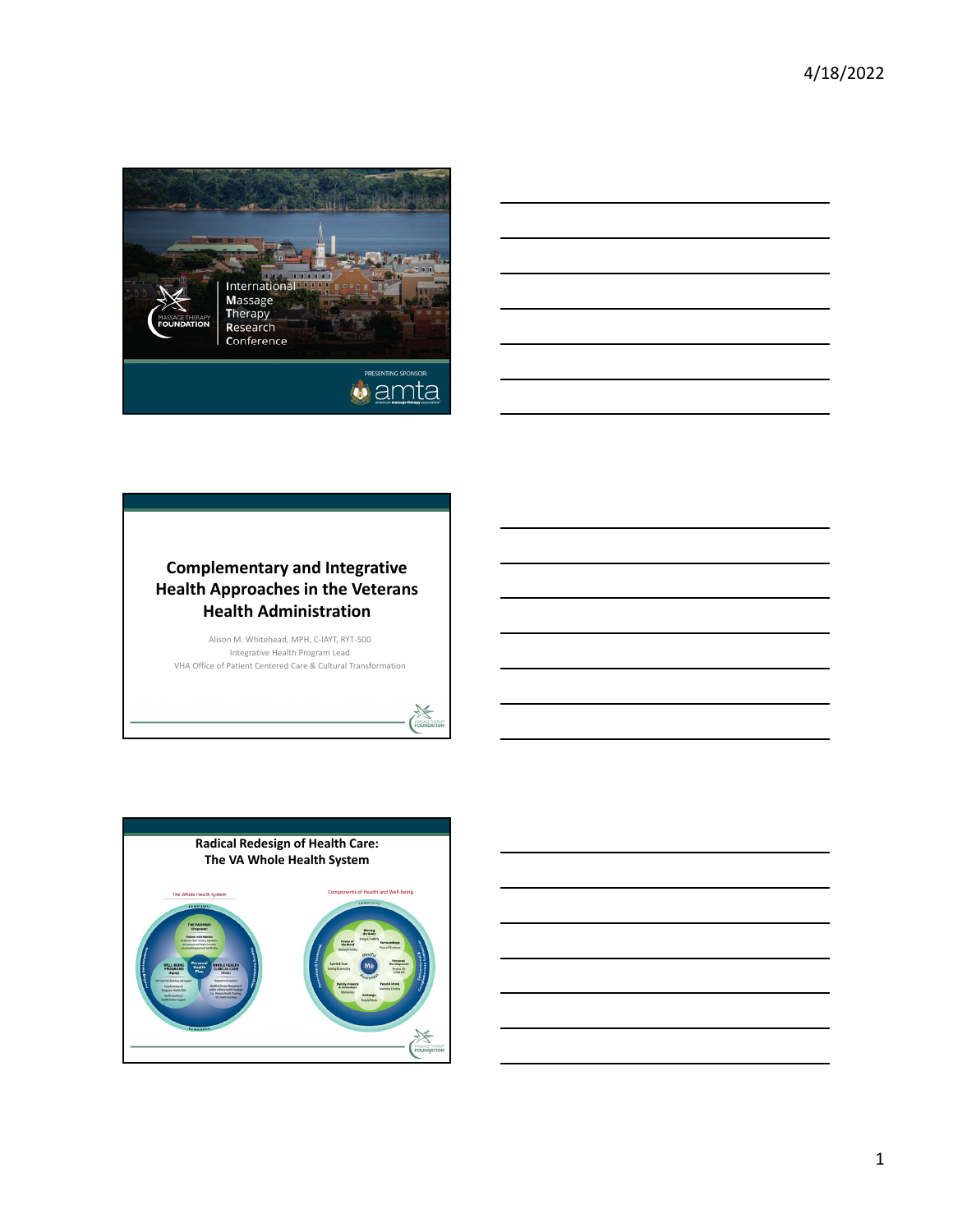



## **Complementary and Integrative Health Approaches in the Veterans Health Administration**

Alison M. Whitehead, MPH, C‐IAYT, RYT‐500 Integrative Health Program Lead VHA Office of Patient Centered Care & Cultural Transformation

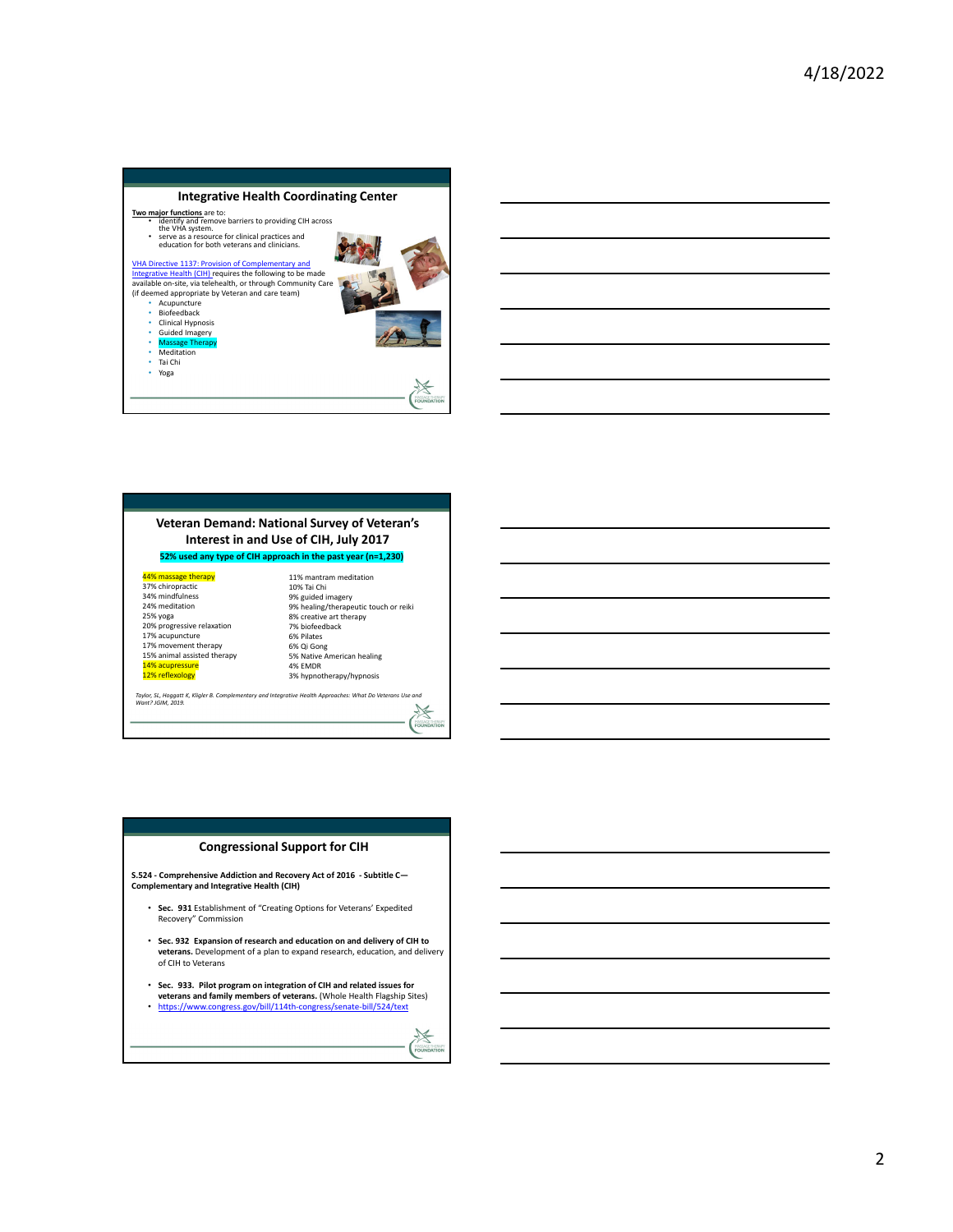

### **Veteran Demand: National Survey of Veteran's Interest in and Use of CIH, July 2017**

**52% used any type of CIH approach in the past year (n=1,230)**

44% massage therapy 37% chiropractic 34% mindfulness 24% meditation 25% yoga 20% progressive relaxation 17% acupuncture 17% movement therapy 15% animal assisted therapy 14% acupressure 12% reflexology

11% mantram meditation 10% Tai Chi 9% guided imagery 9% healing/therapeutic touch or reiki 8% creative art therapy 7% biofeedback 6% Pilates 6% Qi Gong 5% Native American healing 4% EMDR 3% hypnotherapy/hypnosis

5

泛 FOUND

Taylor, SL, Hoggatt K, Kligler B. Complementary and Integrative Health Approaches: What Do Veterans Use and<br>Want? JGIM, 2019.

**Congressional Support for CIH**

**S.524 ‐ Comprehensive Addiction and Recovery Act of 2016 ‐ Subtitle C— Complementary and Integrative Health (CIH)**

- **Sec. 931** Establishment of "Creating Options for Veterans' Expedited Recovery" Commission
- **Sec. 932 Expansion of research and education on and delivery of CIH to veterans.** Development of a plan to expand research, education, and delivery of CIH to Veterans
- **Sec. 933. Pilot program on integration of CIH and related issues for veterans and family members of veterans.** (Whole Health Flagship Sites) • https://www.congress.gov/bill/114th-congress/senate-bill/524/text

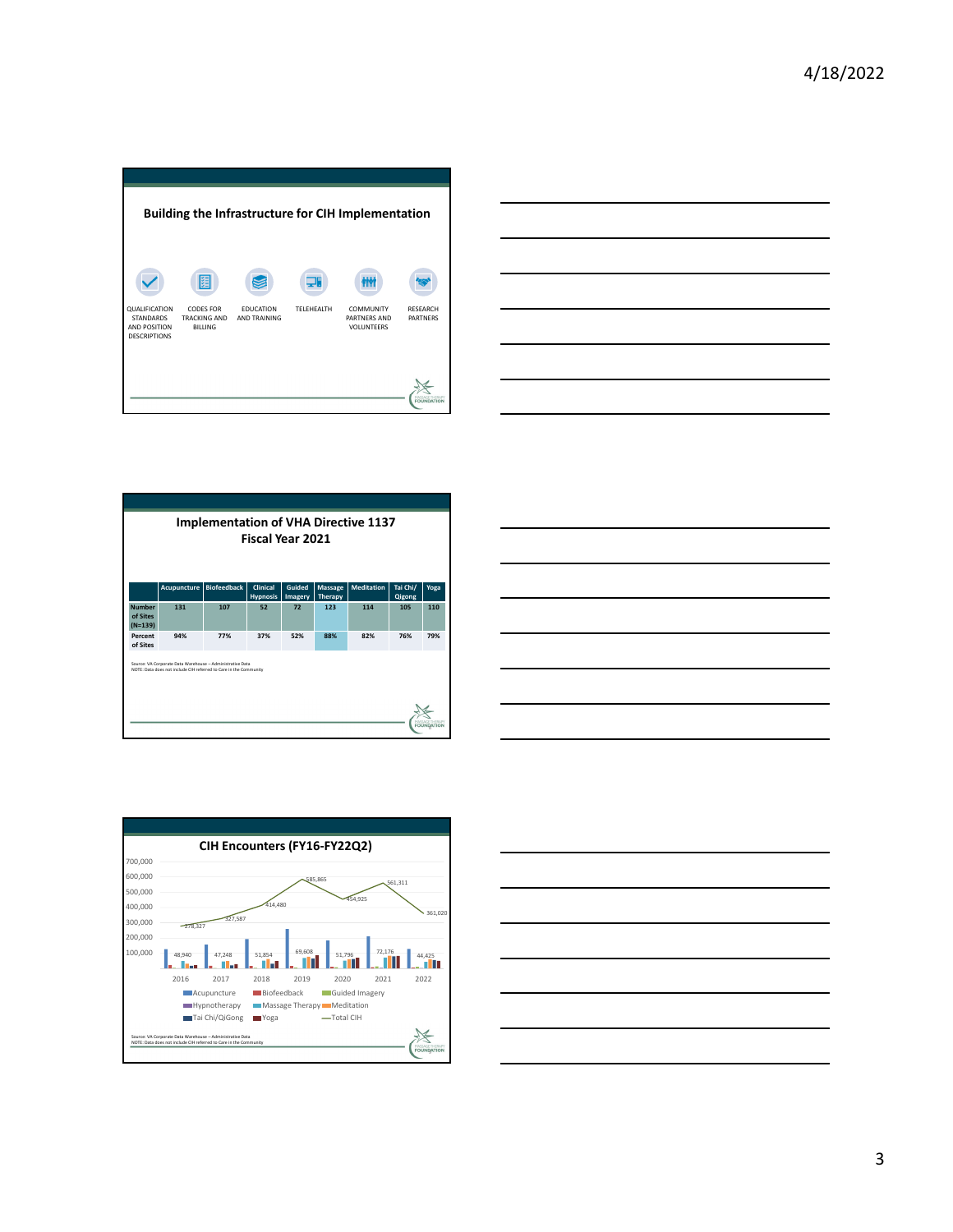| <b>Building the Infrastructure for CIH Implementation</b> |                                              |                                         |                 |                            |                   |  |  |
|-----------------------------------------------------------|----------------------------------------------|-----------------------------------------|-----------------|----------------------------|-------------------|--|--|
| QUALIFICATION<br><b>STANDARDS</b>                         | 圉<br><b>CODES FOR</b><br><b>TRACKING AND</b> | <b>EDUCATION</b><br><b>AND TRAINING</b> | 頂<br>TELEHEALTH | COMMUNITY                  | <b>RESEARCH</b>   |  |  |
| AND POSITION<br><b>DESCRIPTIONS</b>                       | <b>BILLING</b>                               |                                         |                 | PARTNERS AND<br>VOLUNTEERS | <b>PARTNERS</b>   |  |  |
|                                                           |                                              |                                         |                 |                            | <b>FOUNDATION</b> |  |  |









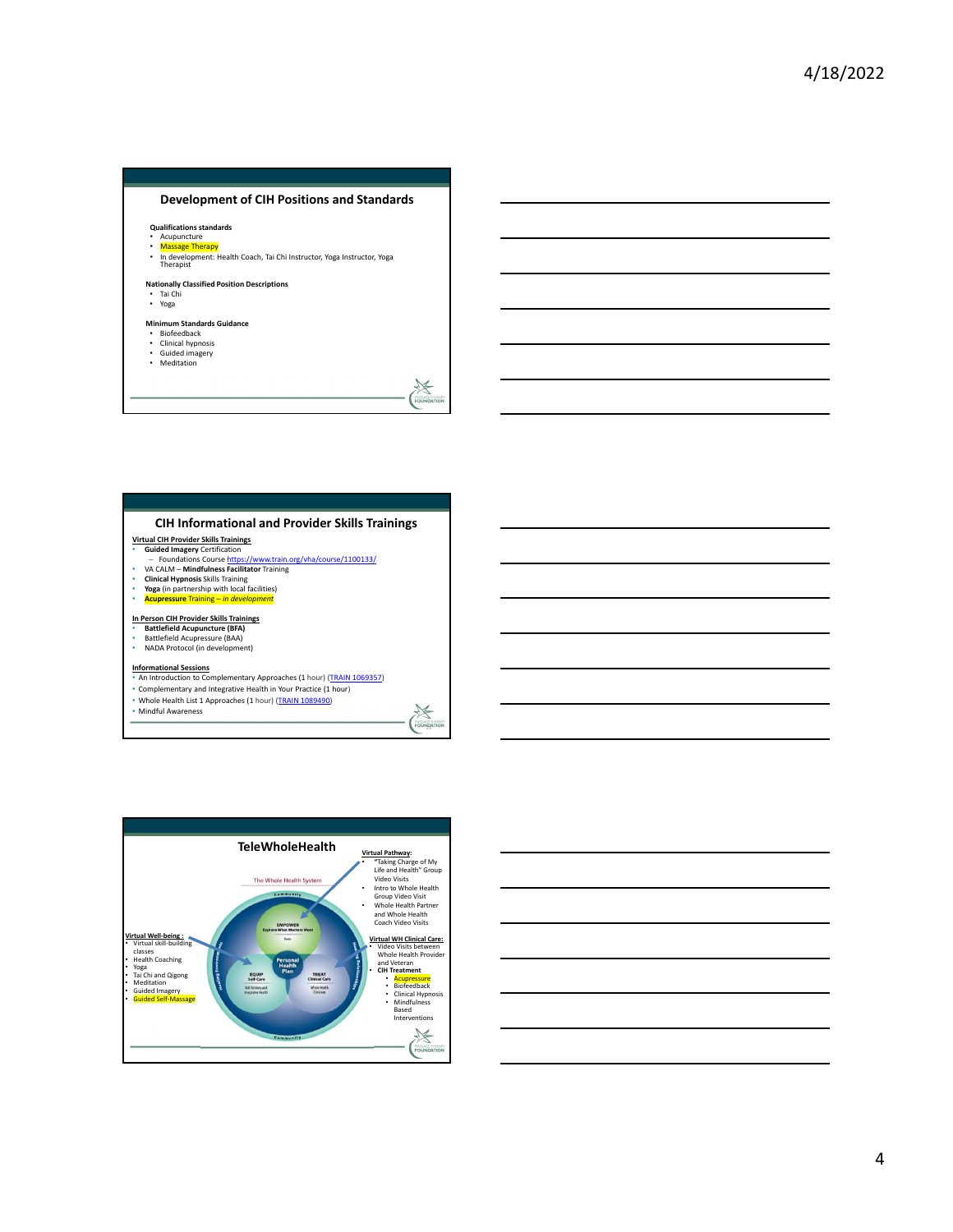### **Development of CIH Positions and Standards**

**Qualifications standards**

- Acupuncture
- <mark>Massage Therapy</mark><br>• In development: Health Coach, Tai Chi Instructor, Yoga Instructor, Yoga<br> Therapist

### **Nationally Classified Position Descriptions**

• Tai Chi • Yoga

- **Minimum Standards Guidance** Biofeedback
- 
- Clinical hypnosis Guided imagery
- Meditation

### **CIH Informational and Provider Skills Trainings**

- 
- Virtual CIH Provider Skills Trainings<br>• Guided Imagery Certification<br>- Foundations Course https://www.train.org/vha/course/1100133/<br>• VA CALM Mindfulness Facilitator Training
- **Clinical Hypnosis** Skills Training **Yoga** (in partnership with local facilities)
- **Acupressure** Training *in development*

# **In Person CIH Provider Skills Trainings** • **Battlefield Acupuncture (BFA)** • Battlefield Acupressure (BAA)

• NADA Protocol (in development)

**Informational Sessions** • An Introduction to Complementary Approaches (1 hour) (TRAIN 1069357)

Fourige

 $\begin{matrix} \mathbb{X} \\ \mathbb{Y} \\ \mathbb{X} \end{matrix}$ 

• Complementary and Integrative Health in Your Practice (1 hour)

• Whole Health List 1 Approaches (1 hour) (<mark>TRAIN 1089490</mark>)<br>• Mindful Awareness



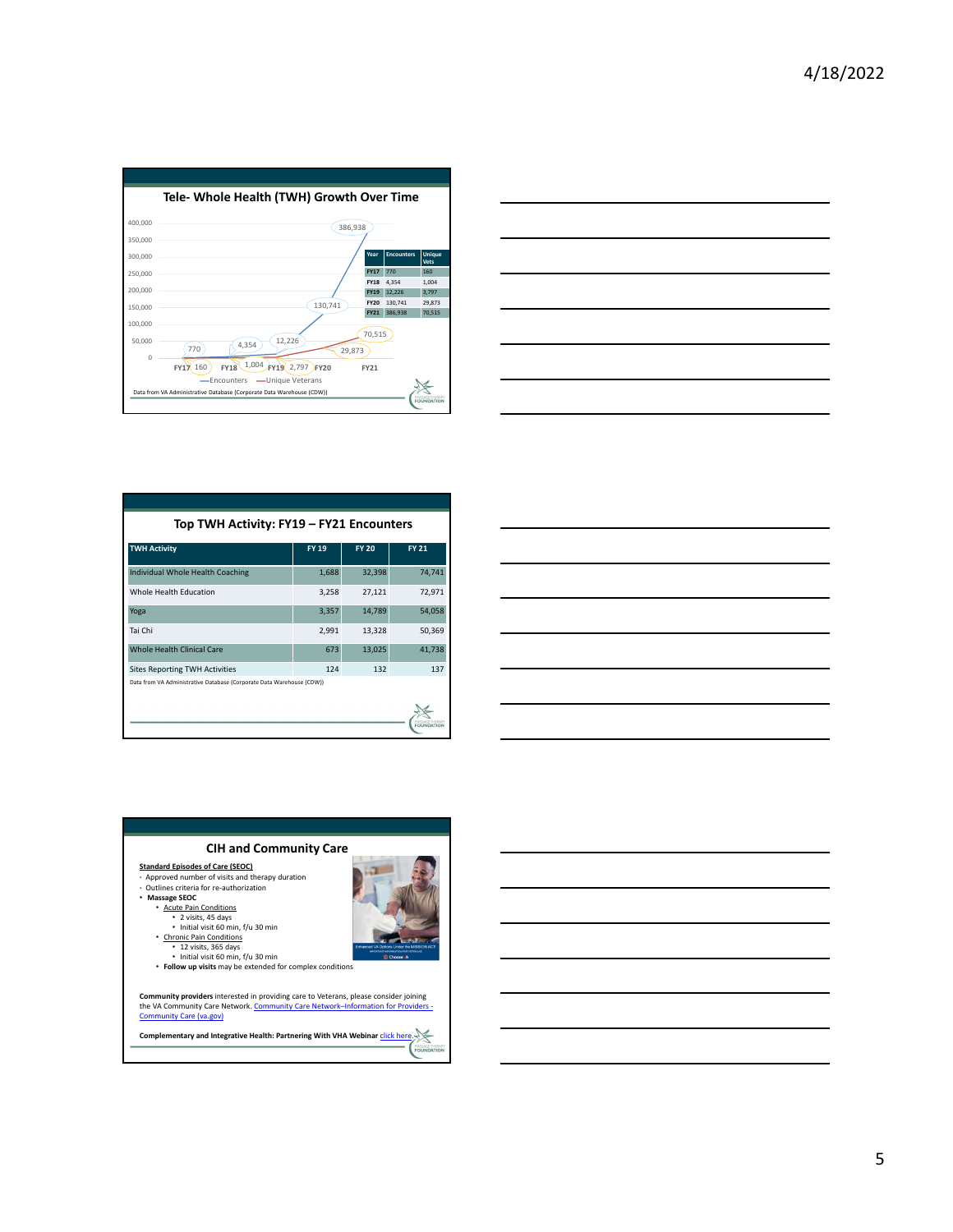



| Top TWH Activity: FY19 - FY21 Encounters                              |              |              |              |  |  |  |
|-----------------------------------------------------------------------|--------------|--------------|--------------|--|--|--|
| <b>TWH Activity</b>                                                   | <b>FY 19</b> | <b>FY 20</b> | <b>FY 21</b> |  |  |  |
| Individual Whole Health Coaching                                      | 1,688        | 32,398       | 74,741       |  |  |  |
| Whole Health Education                                                | 3,258        | 27,121       | 72,971       |  |  |  |
| Yoga                                                                  | 3,357        | 14,789       | 54,058       |  |  |  |
| Tai Chi                                                               | 2,991        | 13,328       | 50,369       |  |  |  |
| <b>Whole Health Clinical Care</b>                                     | 673          | 13,025       | 41,738       |  |  |  |
| <b>Sites Reporting TWH Activities</b>                                 | 124          | 132          | 137          |  |  |  |
| Data from VA Administrative Database (Corporate Data Warehouse (CDW)) |              |              |              |  |  |  |



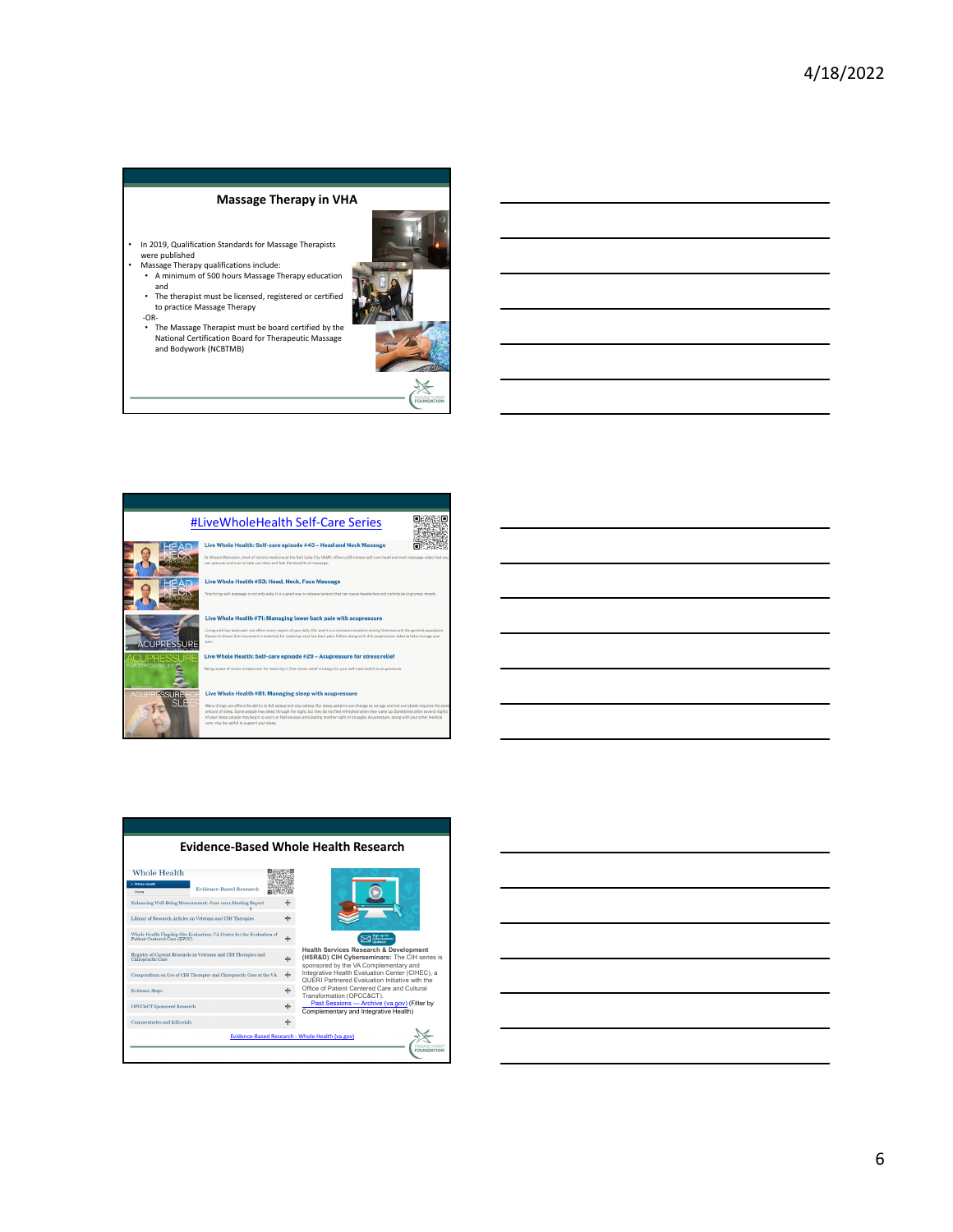### **Massage Therapy in VHA**

- In 2019, Qualification Standards for Massage Therapists were published
- Massage Therapy qualifications include: A minimum of 500 hours Massage Therapy education

‐OR‐

- and • The therapist must be licensed, registered or certified to practice Massage Therapy
- The Massage Therapist must be board certified by the National Certification Board for Therapeutic Massage and Bodywork (NCBTMB)